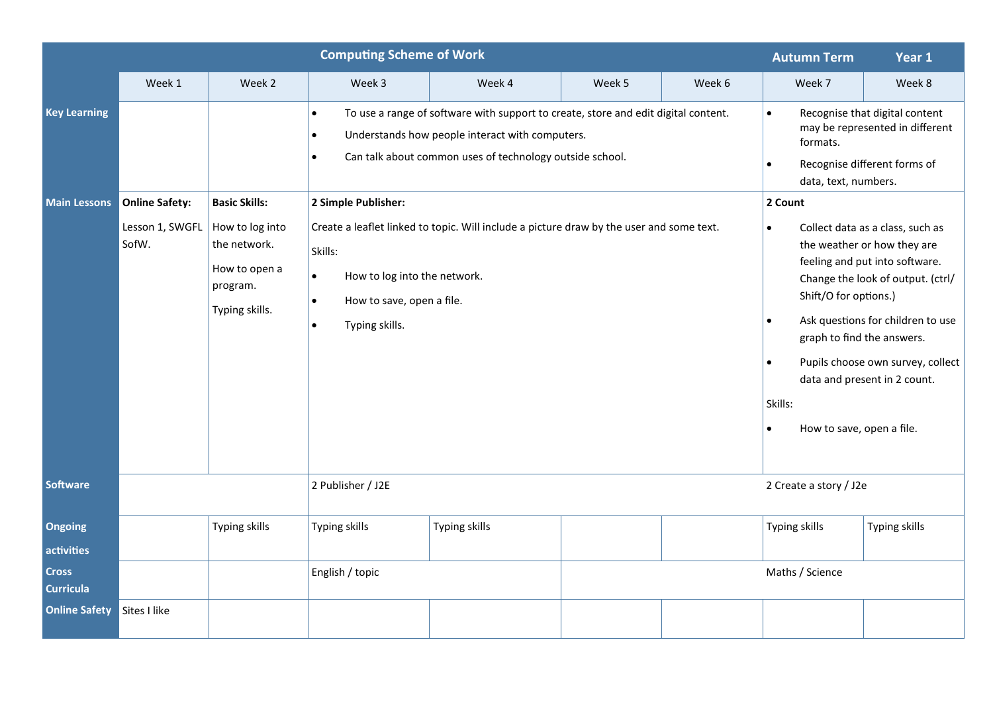| <b>Computing Scheme of Work</b>            |                          |                                                                                |                                                                                                                                                                                                                                                                 |               |                        |                                                                                                                                                                                                                                                                                                                                                                                                     | <b>Autumn Term</b>                                                                                                                                                         | Year 1        |  |
|--------------------------------------------|--------------------------|--------------------------------------------------------------------------------|-----------------------------------------------------------------------------------------------------------------------------------------------------------------------------------------------------------------------------------------------------------------|---------------|------------------------|-----------------------------------------------------------------------------------------------------------------------------------------------------------------------------------------------------------------------------------------------------------------------------------------------------------------------------------------------------------------------------------------------------|----------------------------------------------------------------------------------------------------------------------------------------------------------------------------|---------------|--|
|                                            | Week 1                   | Week 2                                                                         | Week 3                                                                                                                                                                                                                                                          | Week 4        | Week 5                 | Week 6                                                                                                                                                                                                                                                                                                                                                                                              | Week 7                                                                                                                                                                     | Week 8        |  |
| <b>Key Learning</b><br><b>Main Lessons</b> | <b>Online Safety:</b>    | <b>Basic Skills:</b>                                                           | To use a range of software with support to create, store and edit digital content.<br>$\bullet$<br>Understands how people interact with computers.<br>$\bullet$<br>Can talk about common uses of technology outside school.<br>$\bullet$<br>2 Simple Publisher: |               |                        |                                                                                                                                                                                                                                                                                                                                                                                                     | Recognise that digital content<br>$\bullet$<br>may be represented in different<br>formats.<br>Recognise different forms of<br>$\bullet$<br>data, text, numbers.<br>2 Count |               |  |
|                                            | Lesson 1, SWGFL<br>SofW. | How to log into<br>the network.<br>How to open a<br>program.<br>Typing skills. | Create a leaflet linked to topic. Will include a picture draw by the user and some text.<br>Skills:<br>$\bullet$<br>How to log into the network.<br>How to save, open a file.<br>$\bullet$<br>Typing skills.<br>$\bullet$                                       |               |                        | Collect data as a class, such as<br>$\bullet$<br>the weather or how they are<br>feeling and put into software.<br>Change the look of output. (ctrl/<br>Shift/O for options.)<br>Ask questions for children to use<br>$\bullet$<br>graph to find the answers.<br>Pupils choose own survey, collect<br>$\bullet$<br>data and present in 2 count.<br>Skills:<br>How to save, open a file.<br>$\bullet$ |                                                                                                                                                                            |               |  |
| <b>Software</b>                            | 2 Publisher / J2E        |                                                                                |                                                                                                                                                                                                                                                                 |               | 2 Create a story / J2e |                                                                                                                                                                                                                                                                                                                                                                                                     |                                                                                                                                                                            |               |  |
| Ongoing<br>activities                      |                          | Typing skills                                                                  | Typing skills                                                                                                                                                                                                                                                   | Typing skills |                        |                                                                                                                                                                                                                                                                                                                                                                                                     | <b>Typing skills</b>                                                                                                                                                       | Typing skills |  |
| <b>Cross</b><br><b>Curricula</b>           |                          |                                                                                | English / topic                                                                                                                                                                                                                                                 |               |                        |                                                                                                                                                                                                                                                                                                                                                                                                     | Maths / Science                                                                                                                                                            |               |  |
| <b>Online Safety</b>                       | Sites I like             |                                                                                |                                                                                                                                                                                                                                                                 |               |                        |                                                                                                                                                                                                                                                                                                                                                                                                     |                                                                                                                                                                            |               |  |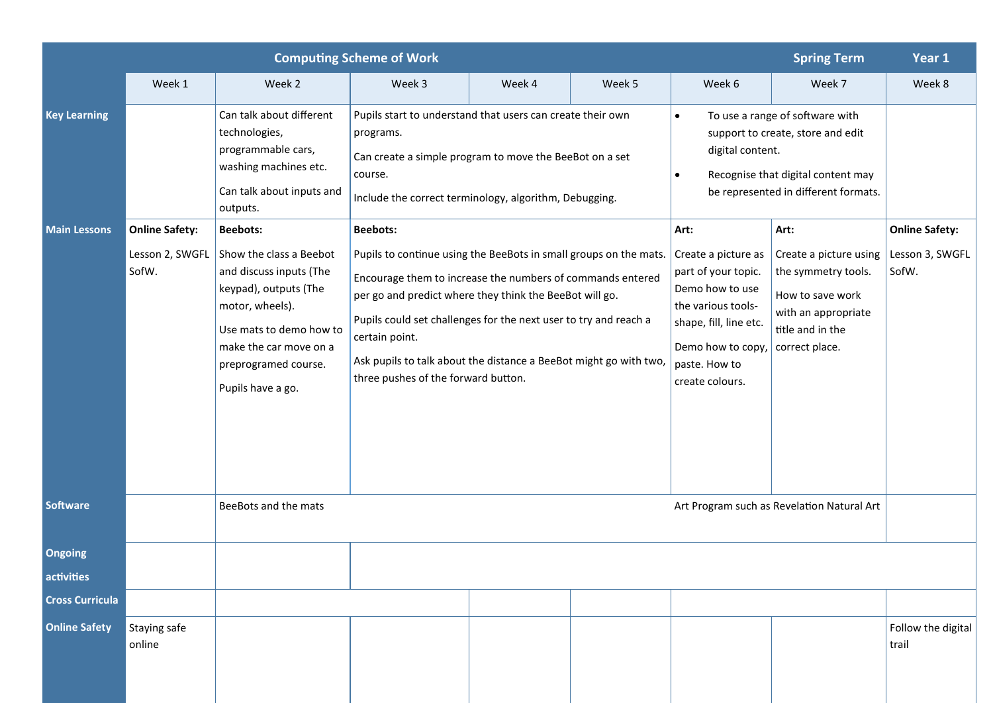| <b>Computing Scheme of Work</b><br><b>Spring Term</b> |                                |                                                                                                                                                                                                                                     |                                                                                                                                                                                                                                                                                                                                                                                                                 |        |        |                                                                                                                                                                                                  |                                                                                                                                        |                                                   |  |
|-------------------------------------------------------|--------------------------------|-------------------------------------------------------------------------------------------------------------------------------------------------------------------------------------------------------------------------------------|-----------------------------------------------------------------------------------------------------------------------------------------------------------------------------------------------------------------------------------------------------------------------------------------------------------------------------------------------------------------------------------------------------------------|--------|--------|--------------------------------------------------------------------------------------------------------------------------------------------------------------------------------------------------|----------------------------------------------------------------------------------------------------------------------------------------|---------------------------------------------------|--|
|                                                       | Week 1                         | Week 2                                                                                                                                                                                                                              | Week 3                                                                                                                                                                                                                                                                                                                                                                                                          | Week 4 | Week 5 | Week 6                                                                                                                                                                                           | Week 7                                                                                                                                 | Week 8                                            |  |
| <b>Key Learning</b>                                   |                                | Can talk about different<br>technologies,<br>programmable cars,<br>washing machines etc.<br>Can talk about inputs and<br>outputs.                                                                                                   | Pupils start to understand that users can create their own<br>programs.<br>Can create a simple program to move the BeeBot on a set<br>course.<br>Include the correct terminology, algorithm, Debugging.                                                                                                                                                                                                         |        |        | To use a range of software with<br>$\bullet$<br>support to create, store and edit<br>digital content.<br>Recognise that digital content may<br>$\bullet$<br>be represented in different formats. |                                                                                                                                        |                                                   |  |
| <b>Main Lessons</b>                                   | <b>Online Safety:</b><br>SofW. | <b>Beebots:</b><br>Lesson 2, SWGFL Show the class a Beebot<br>and discuss inputs (The<br>keypad), outputs (The<br>motor, wheels).<br>Use mats to demo how to<br>make the car move on a<br>preprogramed course.<br>Pupils have a go. | <b>Beebots:</b><br>Pupils to continue using the BeeBots in small groups on the mats.<br>Encourage them to increase the numbers of commands entered<br>per go and predict where they think the BeeBot will go.<br>Pupils could set challenges for the next user to try and reach a<br>certain point.<br>Ask pupils to talk about the distance a BeeBot might go with two,<br>three pushes of the forward button. |        |        | Art:<br>Create a picture as<br>part of your topic.<br>Demo how to use<br>the various tools-<br>shape, fill, line etc.<br>Demo how to copy,<br>paste. How to<br>create colours.                   | Art:<br>Create a picture using<br>the symmetry tools.<br>How to save work<br>with an appropriate<br>title and in the<br>correct place. | <b>Online Safety:</b><br>Lesson 3, SWGFL<br>SofW. |  |
| <b>Software</b>                                       |                                | BeeBots and the mats                                                                                                                                                                                                                |                                                                                                                                                                                                                                                                                                                                                                                                                 |        |        |                                                                                                                                                                                                  | Art Program such as Revelation Natural Art                                                                                             |                                                   |  |
| <b>Ongoing</b>                                        |                                |                                                                                                                                                                                                                                     |                                                                                                                                                                                                                                                                                                                                                                                                                 |        |        |                                                                                                                                                                                                  |                                                                                                                                        |                                                   |  |
| activities                                            |                                |                                                                                                                                                                                                                                     |                                                                                                                                                                                                                                                                                                                                                                                                                 |        |        |                                                                                                                                                                                                  |                                                                                                                                        |                                                   |  |
| <b>Cross Curricula</b>                                |                                |                                                                                                                                                                                                                                     |                                                                                                                                                                                                                                                                                                                                                                                                                 |        |        |                                                                                                                                                                                                  |                                                                                                                                        |                                                   |  |
| <b>Online Safety</b>                                  | Staying safe<br>online         |                                                                                                                                                                                                                                     |                                                                                                                                                                                                                                                                                                                                                                                                                 |        |        |                                                                                                                                                                                                  |                                                                                                                                        | Follow the digital<br>trail                       |  |